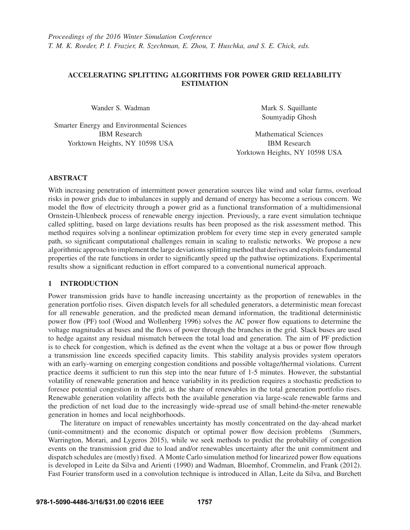# ACCELERATING SPLITTING ALGORITHMS FOR POWER GRID RELIABILITY **ESTIMATION**

Wander S. Wadman

Smarter Energy and Environmental Sciences IBM Research Yorktown Heights, NY 10598 USA

Mark S. Squillante Soumyadip Ghosh

Mathematical Sciences IBM Research Yorktown Heights, NY 10598 USA

# ABSTRACT

With increasing penetration of intermittent power generation sources like wind and solar farms, overload risks in power grids due to imbalances in supply and demand of energy has become a serious concern. We model the flow of electricity through a power grid as a functional transformation of a multidimensional Ornstein-Uhlenbeck process of renewable energy injection. Previously, a rare event simulation technique called splitting, based on large deviations results has been proposed as the risk assessment method. This method requires solving a nonlinear optimization problem for every time step in every generated sample path, so significant computational challenges remain in scaling to realistic networks. We propose a new algorithmic approach to implement the large deviations splitting method that derives and exploits fundamental properties of the rate functions in order to significantly speed up the pathwise optimizations. Experimental results show a significant reduction in effort compared to a conventional numerical approach.

# 1 INTRODUCTION

Power transmission grids have to handle increasing uncertainty as the proportion of renewables in the generation portfolio rises. Given dispatch levels for all scheduled generators, a deterministic mean forecast for all renewable generation, and the predicted mean demand information, the traditional deterministic power flow (PF) tool (Wood and Wollenberg 1996) solves the AC power flow equations to determine the voltage magnitudes at buses and the flows of power through the branches in the grid. Slack buses are used to hedge against any residual mismatch between the total load and generation. The aim of PF prediction is to check for congestion, which is defined as the event when the voltage at a bus or power flow through a transmission line exceeds specified capacity limits. This stability analysis provides system operators with an early-warning on emerging congestion conditions and possible voltage/thermal violations. Current practice deems it sufficient to run this step into the near future of 1-5 minutes. However, the substantial volatility of renewable generation and hence variability in its prediction requires a stochastic prediction to foresee potential congestion in the grid, as the share of renewables in the total generation portfolio rises. Renewable generation volatility affects both the available generation via large-scale renewable farms and the prediction of net load due to the increasingly wide-spread use of small behind-the-meter renewable generation in homes and local neighborhoods.

The literature on impact of renewables uncertainty has mostly concentrated on the day-ahead market (unit-commitment) and the economic dispatch or optimal power flow decision problems (Summers, Warrington, Morari, and Lygeros 2015), while we seek methods to predict the probability of congestion events on the transmission grid due to load and/or renewables uncertainty after the unit commitment and dispatch schedules are (mostly) fixed. A Monte Carlo simulation method for linearized power flow equations is developed in Leite da Silva and Arienti (1990) and Wadman, Bloemhof, Crommelin, and Frank (2012). Fast Fourier transform used in a convolution technique is introduced in Allan, Leite da Silva, and Burchett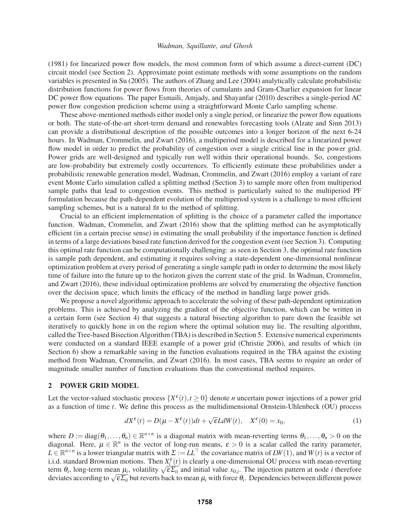(1981) for linearized power flow models, the most common form of which assume a direct-current (DC) circuit model (see Section 2). Approximate point estimate methods with some assumptions on the random variables is presented in Su (2005). The authors of Zhang and Lee (2004) analytically calculate probabilistic distribution functions for power flows from theories of cumulants and Gram-Charlier expansion for linear DC power flow equations. The paper Esmaili, Amjady, and Shayanfar (2010) describes a single-period AC power flow congestion prediction scheme using a straightforward Monte Carlo sampling scheme.

These above-mentioned methods either model only a single period, or linearize the power flow equations or both. The state-of-the-art short-term demand and renewables forecasting tools (Alzate and Sinn 2013) can provide a distributional description of the possible outcomes into a longer horizon of the next 6-24 hours. In Wadman, Crommelin, and Zwart (2016), a multiperiod model is described for a linearized power flow model in order to predict the probability of congestion over a single critical line in the power grid. Power grids are well-designed and typically run well within their operational bounds. So, congestions are low-probability but extremely costly occurrences. To efficiently estimate these probabilities under a probabilistic renewable generation model, Wadman, Crommelin, and Zwart (2016) employ a variant of rare event Monte Carlo simulation called a splitting method (Section 3) to sample more often from multiperiod sample paths that lead to congestion events. This method is particularly suited to the multiperiod PF formulation because the path-dependent evolution of the multiperiod system is a challenge to most efficient sampling schemes, but is a natural fit to the method of splitting.

Crucial to an efficient implementation of splitting is the choice of a parameter called the importance function. Wadman, Crommelin, and Zwart (2016) show that the splitting method can be asymptotically efficient (in a certain precise sense) in estimating the small probability if the importance function is defined in terms of a large deviations based rate function derived for the congestion event (see Section 3). Computing this optimal rate function can be computationally challenging: as seen in Section 3, the optimal rate function is sample path dependent, and estimating it requires solving a state-dependent one-dimensional nonlinear optimization problem at every period of generating a single sample path in order to determine the most likely time of failure into the future up to the horizon given the current state of the grid. In Wadman, Crommelin, and Zwart (2016), these individual optimization problems are solved by enumerating the objective function over the decision space, which limits the efficacy of the method in handling large power grids.

We propose a novel algorithmic approach to accelerate the solving of these path-dependent optimization problems. This is achieved by analyzing the gradient of the objective function, which can be written in a certain form (see Section 4) that suggests a natural bisecting algorithm to pare down the feasible set iteratively to quickly hone in on the region where the optimal solution may lie. The resulting algorithm, called the Tree-based Bisection Algorithm (TBA) is described in Section 5. Extensive numerical experiments were conducted on a standard IEEE example of a power grid (Christie 2006), and results of which (in Section 6) show a remarkable saving in the function evaluations required in the TBA against the existing method from Wadman, Crommelin, and Zwart (2016). In most cases, TBA seems to require an order of magnitude smaller number of function evaluations than the conventional method requires.

### 2 POWER GRID MODEL

Let the vector-valued stochastic process  $\{X^{\varepsilon}(t), t \geq 0\}$  denote *n* uncertain power injections of a power grid as a function of time *t*. We define this process as the multidimensional Ornstein-Uhlenbeck (OU) process

$$
dX^{\varepsilon}(t) = D(\mu - X^{\varepsilon}(t))dt + \sqrt{\varepsilon}LdW(t), \quad X^{\varepsilon}(0) = x_0,
$$
\n(1)

where  $D := diag(\theta_1, \dots, \theta_n) \in \mathbb{R}^{n \times n}$  is a diagonal matrix with mean-reverting terms  $\theta_1, \dots, \theta_n > 0$  on the diagonal. Here,  $\mu \in \mathbb{R}^n$  is the vector of long-run means,  $\varepsilon > 0$  is a scalar called the rarity parameter,  $L \in \mathbb{R}^{n \times n}$  is a lower triangular matrix with  $\Sigma := LL^\top$  the covariance matrix of  $LW(1)$ , and  $W(t)$  is a vector of i.i.d. standard Brownian motions. Then  $X_i^{\varepsilon}(t)$  is clearly a one-dimensional OU process with mean-reverting term  $\theta_i$ , long-term mean  $\mu_i$ , volatility  $\sqrt{\varepsilon \Sigma_{ii}}$  and initial value  $x_{0,i}$ . The injection pattern at node *i* therefore deviates according to  $\sqrt{\varepsilon \Sigma_{ii}}$  but reverts back to mean  $\mu_i$  with force  $\theta_i$ . Dependencies between different power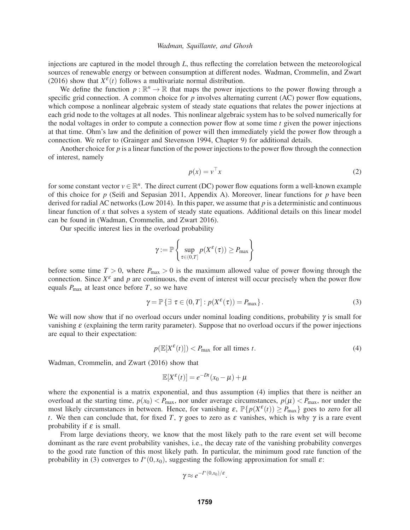injections are captured in the model through *L*, thus reflecting the correlation between the meteorological sources of renewable energy or between consumption at different nodes. Wadman, Crommelin, and Zwart (2016) show that  $X^{\varepsilon}(t)$  follows a multivariate normal distribution.

We define the function  $p : \mathbb{R}^n \to \mathbb{R}$  that maps the power injections to the power flowing through a specific grid connection. A common choice for *p* involves alternating current (AC) power flow equations, which compose a nonlinear algebraic system of steady state equations that relates the power injections at each grid node to the voltages at all nodes. This nonlinear algebraic system has to be solved numerically for the nodal voltages in order to compute a connection power flow at some time *t* given the power injections at that time. Ohm's law and the definition of power will then immediately yield the power flow through a connection. We refer to (Grainger and Stevenson 1994, Chapter 9) for additional details.

Another choice for *p* is a linear function of the power injections to the power flow through the connection of interest, namely

$$
p(x) = v^{\top} x \tag{2}
$$

for some constant vector  $v \in \mathbb{R}^n$ . The direct current (DC) power flow equations form a well-known example of this choice for *p* (Seifi and Sepasian 2011, Appendix A). Moreover, linear functions for *p* have been derived for radial AC networks (Low 2014). In this paper, we assume that *p* is a deterministic and continuous linear function of *x* that solves a system of steady state equations. Additional details on this linear model can be found in (Wadman, Crommelin, and Zwart 2016).

Our specific interest lies in the overload probability

$$
\gamma := \mathbb{P}\left\{\sup_{\tau \in (0,T]} p(X^{\varepsilon}(\tau)) \ge P_{\max}\right\}
$$

before some time  $T > 0$ , where  $P_{\text{max}} > 0$  is the maximum allowed value of power flowing through the connection. Since  $X^{\varepsilon}$  and *p* are continuous, the event of interest will occur precisely when the power flow equals  $P_{\text{max}}$  at least once before *T*, so we have

$$
\gamma = \mathbb{P}\left\{\exists \ \tau \in (0, T] : p(X^{\varepsilon}(\tau)) = P_{\text{max}}\right\}.
$$
\n(3)

We will now show that if no overload occurs under nominal loading conditions, probability  $\gamma$  is small for vanishing  $\varepsilon$  (explaining the term rarity parameter). Suppose that no overload occurs if the power injections are equal to their expectation:

$$
p(\mathbb{E}[X^{\varepsilon}(t)]) < P_{\text{max}} \text{ for all times } t. \tag{4}
$$

Wadman, Crommelin, and Zwart (2016) show that

$$
\mathbb{E}[X^{\varepsilon}(t)]=e^{-Dt}(x_0-\mu)+\mu
$$

where the exponential is a matrix exponential, and thus assumption (4) implies that there is neither an overload at the starting time,  $p(x_0) < P_{\text{max}}$ , nor under average circumstances,  $p(\mu) < P_{\text{max}}$ , nor under the most likely circumstances in between. Hence, for vanishing  $\varepsilon$ ,  $\mathbb{P}\{p(X^{\varepsilon}(t)) \geq P_{\text{max}}\}\)$  goes to zero for all *t*. We then can conclude that, for fixed *T*,  $\gamma$  goes to zero as  $\varepsilon$  vanishes, which is why  $\gamma$  is a rare event probability if  $\varepsilon$  is small.

From large deviations theory, we know that the most likely path to the rare event set will become dominant as the rare event probability vanishes, i.e., the decay rate of the vanishing probability converges to the good rate function of this most likely path. In particular, the minimum good rate function of the probability in (3) converges to  $I^*(0, x_0)$ , suggesting the following approximation for small  $\varepsilon$ :

$$
\gamma \approx e^{-I^*(0,x_0)/\varepsilon}.
$$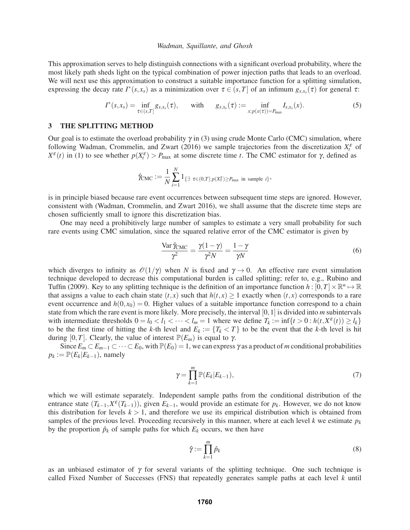This approximation serves to help distinguish connections with a significant overload probability, where the most likely path sheds light on the typical combination of power injection paths that leads to an overload. We will next use this approximation to construct a suitable importance function for a splitting simulation, expressing the decay rate  $I^*(s, x_s)$  as a minimization over  $\tau \in (s, T]$  of an infimum  $g_{s, x_s}(\tau)$  for general  $\tau$ :

$$
I^*(s, x_s) = \inf_{\tau \in (s, T]} g_{s, x_s}(\tau), \quad \text{with} \quad g_{s, x_s}(\tau) := \inf_{x: p(x(\tau)) = P_{\text{max}}} I_{s, x_s}(x). \tag{5}
$$

### 3 THE SPLITTING METHOD

Our goal is to estimate the overload probability  $\gamma$  in (3) using crude Monte Carlo (CMC) simulation, where following Wadman, Crommelin, and Zwart (2016) we sample trajectories from the discretization  $X_t^{\varepsilon}$  of  $X^{\varepsilon}(t)$  in (1) to see whether  $p(X_t^{\varepsilon}) > P_{\text{max}}$  at some discrete time *t*. The CMC estimator for  $\gamma$ , defined as

$$
\hat{\gamma}_{\text{CMC}} := \frac{1}{N} \sum_{i=1}^{N} 1_{\{\exists \ \tau \in (0,T]: p(X^{\varepsilon}_{\tau}) \ge P_{\text{max}} \text{ in sample } i\}},
$$

is in principle biased because rare event occurrences between subsequent time steps are ignored. However, consistent with (Wadman, Crommelin, and Zwart 2016), we shall assume that the discrete time steps are chosen sufficiently small to ignore this discretization bias.

One may need a prohibitively large number of samples to estimate a very small probability for such rare events using CMC simulation, since the squared relative error of the CMC estimator is given by

$$
\frac{\text{Var}\,\hat{\gamma}_{\text{CMC}}}{\gamma^2} = \frac{\gamma(1-\gamma)}{\gamma^2 N} = \frac{1-\gamma}{\gamma N} \tag{6}
$$

which diverges to infinity as  $\mathcal{O}(1/\gamma)$  when *N* is fixed and  $\gamma \to 0$ . An effective rare event simulation technique developed to decrease this computational burden is called splitting; refer to, e.g., Rubino and Tuffin (2009). Key to any splitting technique is the definition of an importance function  $h:[0,T]\times\mathbb{R}^n\mapsto\mathbb{R}$ that assigns a value to each chain state  $(t, x)$  such that  $h(t, x) \ge 1$  exactly when  $(t, x)$  corresponds to a rare event occurrence and  $h(0, x_0) = 0$ . Higher values of a suitable importance function correspond to a chain state from which the rare event is more likely. More precisely, the interval [0,1] is divided into *m* subintervals with intermediate thresholds  $0 = l_0 < l_1 < \cdots < l_m = 1$  where we define  $T_k := \inf\{t > 0 : h(t, X^{\varepsilon}(t)) \ge l_k\}$ to be the first time of hitting the *k*-th level and  $E_k := \{T_k < T\}$  to be the event that the *k*-th level is hit during [0,*T*]. Clearly, the value of interest  $\mathbb{P}(E_m)$  is equal to γ.

Since  $E_m \subset E_{m-1} \subset \cdots \subset E_0$ , with  $\mathbb{P}(E_0) = 1$ , we can express  $\gamma$  as a product of *m* conditional probabilities  $p_k := \mathbb{P}(E_k|E_{k-1})$ , namely

$$
\gamma = \prod_{k=1}^{m} \mathbb{P}(E_k | E_{k-1}),\tag{7}
$$

which we will estimate separately. Independent sample paths from the conditional distribution of the entrance state  $(T_{k-1}, X^{\varepsilon}(T_{k-1}))$ , given  $E_{k-1}$ , would provide an estimate for  $p_k$ . However, we do not know this distribution for levels  $k > 1$ , and therefore we use its empirical distribution which is obtained from samples of the previous level. Proceeding recursively in this manner, where at each level  $k$  we estimate  $p_k$ by the proportion  $\hat{p}_k$  of sample paths for which  $E_k$  occurs, we then have

$$
\hat{\gamma} := \prod_{k=1}^{m} \hat{p}_k \tag{8}
$$

as an unbiased estimator of  $\gamma$  for several variants of the splitting technique. One such technique is called Fixed Number of Successes (FNS) that repeatedly generates sample paths at each level *k* until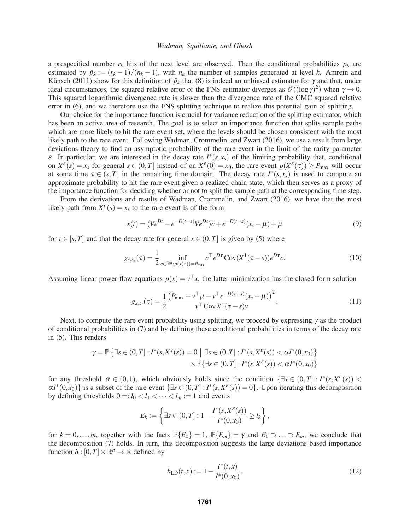a prespecified number  $r_k$  hits of the next level are observed. Then the conditional probabilities  $p_k$  are estimated by  $\hat{p}_k := (r_k - 1)/(n_k - 1)$ , with  $n_k$  the number of samples generated at level *k*. Amrein and Künsch (2011) show for this definition of  $\hat{p}_k$  that (8) is indeed an unbiased estimator for  $\gamma$  and that, under ideal circumstances, the squared relative error of the FNS estimator diverges as  $\mathcal{O}((\log \gamma)^2)$  when  $\gamma \to 0$ . This squared logarithmic divergence rate is slower than the divergence rate of the CMC squared relative error in (6), and we therefore use the FNS splitting technique to realize this potential gain of splitting.

Our choice for the importance function is crucial for variance reduction of the splitting estimator, which has been an active area of research. The goal is to select an importance function that splits sample paths which are more likely to hit the rare event set, where the levels should be chosen consistent with the most likely path to the rare event. Following Wadman, Crommelin, and Zwart (2016), we use a result from large deviations theory to find an asymptotic probability of the rare event in the limit of the rarity parameter ε. In particular, we are interested in the decay rate *I*∗(*s*, *xs*) of the limiting probability that, conditional on  $X^{\varepsilon}(s) = x_s$  for general  $s \in (0,T]$  instead of on  $X^{\varepsilon}(0) = x_0$ , the rare event  $p(X^{\varepsilon}(\tau)) \ge P_{\text{max}}$  will occur at some time  $\tau \in (s, T]$  in the remaining time domain. The decay rate  $I^*(s, x_s)$  is used to compute an approximate probability to hit the rare event given a realized chain state, which then serves as a proxy of the importance function for deciding whether or not to split the sample path at the corresponding time step.

From the derivations and results of Wadman, Crommelin, and Zwart (2016), we have that the most likely path from  $X^{\varepsilon}(s) = x_s$  to the rare event is of the form

$$
x(t) = (Ve^{Dt} - e^{-D(t-s)}Ve^{Ds})c + e^{-D(t-s)}(x_s - \mu) + \mu
$$
\n(9)

for  $t \in [s, T]$  and that the decay rate for general  $s \in (0, T]$  is given by (5) where

$$
g_{s,x_s}(\tau) = \frac{1}{2} \inf_{c \in \mathbb{R}^n : p(x(\tau)) = P_{\text{max}}} c^\top e^{D\tau} \text{Cov}(X^1(\tau - s)) e^{D\tau} c. \tag{10}
$$

Assuming linear power flow equations  $p(x) = v^{\top}x$ , the latter minimization has the closed-form solution

$$
g_{s,x_s}(\tau) = \frac{1}{2} \frac{\left( P_{\text{max}} - \nu^\top \mu - \nu^\top e^{-D(\tau - s)} (x_s - \mu) \right)^2}{\nu^\top \text{Cov} X^1 (\tau - s) \nu}.
$$
\n(11)

Next, to compute the rare event probability using splitting, we proceed by expressing  $\gamma$  as the product of conditional probabilities in (7) and by defining these conditional probabilities in terms of the decay rate in (5). This renders

$$
\gamma = \mathbb{P}\left\{\exists s \in (0, T] : I^*(s, X^{\varepsilon}(s)) = 0 \mid \exists s \in (0, T] : I^*(s, X^{\varepsilon}(s)) < \alpha I^*(0, x_0)\right\}
$$

$$
\times \mathbb{P}\left\{\exists s \in (0, T] : I^*(s, X^{\varepsilon}(s)) < \alpha I^*(0, x_0)\right\}
$$

for any threshold  $\alpha \in (0,1)$ , which obviously holds since the condition  $\{\exists s \in (0,T] : I^*(s,X^{\varepsilon}(s))$  <  $\alpha I^*(0, x_0)$ } is a subset of the rare event  $\{\exists s \in (0, T] : I^*(s, X^{\varepsilon}(s)) = 0\}$ . Upon iterating this decomposition by defining thresholds  $0 =: l_0 < l_1 < \cdots < l_m := 1$  and events

$$
E_k := \left\{ \exists s \in (0, T] : 1 - \frac{I^*(s, X^{\varepsilon}(s))}{I^*(0, x_0)} \ge l_k \right\},\,
$$

for  $k = 0, \ldots, m$ , together with the facts  $\mathbb{P}{E_0} = 1$ ,  $\mathbb{P}{E_m} = \gamma$  and  $E_0 \supset \ldots \supset E_m$ , we conclude that the decomposition (7) holds. In turn, this decomposition suggests the large deviations based importance function  $h : [0, T] \times \mathbb{R}^n \to \mathbb{R}$  defined by

$$
h_{\text{LD}}(t,x) := 1 - \frac{I^*(t,x)}{I^*(0,x_0)}.
$$
\n(12)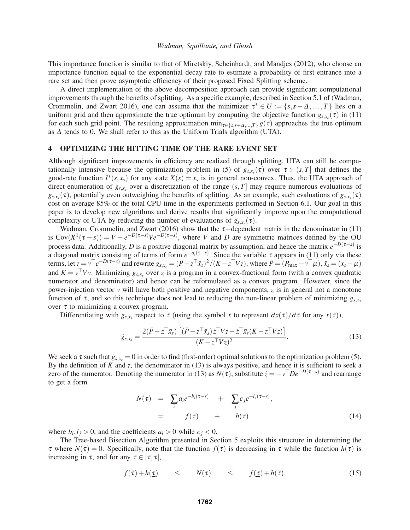This importance function is similar to that of Miretskiy, Scheinhardt, and Mandjes (2012), who choose an importance function equal to the exponential decay rate to estimate a probability of first entrance into a rare set and then prove asymptotic efficiency of their proposed Fixed Splitting scheme.

A direct implementation of the above decomposition approach can provide significant computational improvements through the benefits of splitting. As a specific example, described in Section 5.1 of (Wadman, Crommelin, and Zwart 2016), one can assume that the minimizer  $\tau^* \in U := \{s, s + \Delta, ..., T\}$  lies on a uniform grid and then approximate the true optimum by computing the objective function  $g_{s,x}(\tau)$  in (11) for each such grid point. The resulting approximation  $\min_{\tau \in \{s,s+\Delta,\dots,T\}} g(\tau)$  approaches the true optimum as  $\Delta$  tends to 0. We shall refer to this as the Uniform Trials algorithm (UTA).

### 4 OPTIMIZING THE HITTING TIME OF THE RARE EVENT SET

Although significant improvements in efficiency are realized through splitting, UTA can still be computationally intensive because the optimization problem in (5) of  $g_{s,x_s}(\tau)$  over  $\tau \in (s,T]$  that defines the good-rate function  $I^*(s, x_s)$  for any state  $X(s) = x_s$  is in general non-convex. Thus, the UTA approach of direct-enumeration of  $g_{s,x_s}$  over a discretization of the range  $(s,T]$  may require numerous evaluations of  $g_{s,x_s}(\tau)$ , potentially even outweighing the benefits of splitting. As an example, such evaluations of  $g_{s,x_s}(\tau)$ cost on average 85% of the total CPU time in the experiments performed in Section 6.1. Our goal in this paper is to develop new algorithms and derive results that significantly improve upon the computational complexity of UTA by reducing the number of evaluations of  $g_{s,x_s}(\tau)$ .

Wadman, Crommelin, and Zwart (2016) show that the  $\tau$ -dependent matrix in the denominator in (11) is  $Cov(X^1(\tau - s)) = V - e^{-D(\tau - s)}V e^{-D(\tau - s)}$ , where *V* and *D* are symmetric matrices defined by the OU process data. Additionally, *D* is a positive diagonal matrix by assumption, and hence the matrix *e*−*D*(τ−*s*) is a diagonal matrix consisting of terms of form  $e^{-d_i(\tau-s)}$ . Since the variable  $\tau$  appears in (11) only via these terms, let  $z = v^{\top}e^{-D(\tau-s)}$  and rewrite  $g_{s,x_s} = (\bar{P} - z^{\top}\bar{x}_s)^2/(K - z^{\top}Vz)$ , where  $\bar{P} = (P_{\text{max}} - v^{\top}\mu)$ ,  $\bar{x}_s = (x_s - \mu)$ and  $K = v^{\top}Vv$ . Minimizing  $g_{s,x_s}$  over *z* is a program in a convex-fractional form (with a convex quadratic numerator and denominator) and hence can be reformulated as a convex program. However, since the power-injection vector *v* will have both positive and negative components, *z* is in general not a monotone function of  $\tau$ , and so this technique does not lead to reducing the non-linear problem of minimizing  $g_{s,x_s}$ over  $\tau$  to minimizing a convex program.

Differentiating with  $g_{s,x_s}$  respect to  $\tau$  (using the symbol *i* to represent  $\partial x(\tau)/\partial \tau$  for any  $x(\tau)$ ),

$$
\dot{g}_{s,x_s} = \frac{2(\bar{P} - z^\top \bar{x}_s) \left[ (\bar{P} - z^\top \bar{x}_s) \dot{z}^\top V z - \dot{z}^\top \bar{x}_s (K - z^\top V z) \right]}{(K - z^\top V z)^2}.
$$
\n(13)

We seek a  $\tau$  such that  $\dot{g}_{s,x_s} = 0$  in order to find (first-order) optimal solutions to the optimization problem (5). By the definition of *K* and *z*, the denominator in (13) is always positive, and hence it is sufficient to seek a zero of the numerator. Denoting the numerator in (13) as  $N(\tau)$ , substitute  $\dot{z} = -v^\top D e^{-D(\tau - s)}$  and rearrange to get a form

$$
N(\tau) = \sum_{i} a_i e^{-b_i(\tau - s)} + \sum_{j} c_j e^{-l_j(\tau - s)},
$$
  
=  $f(\tau) + h(\tau)$  (14)

where  $b_i, l_j > 0$ , and the coefficients  $a_i > 0$  while  $c_j < 0$ .

The Tree-based Bisection Algorithm presented in Section 5 exploits this structure in determining the  $\tau$  where  $N(\tau) = 0$ . Specifically, note that the function  $f(\tau)$  is decreasing in  $\tau$  while the function  $h(\tau)$  is increasing in  $\tau$ , and for any  $\tau \in [\tau, \overline{\tau}]$ ,

$$
f(\overline{\tau}) + h(\underline{\tau}) \leq N(\tau) \leq f(\underline{\tau}) + h(\overline{\tau}). \tag{15}
$$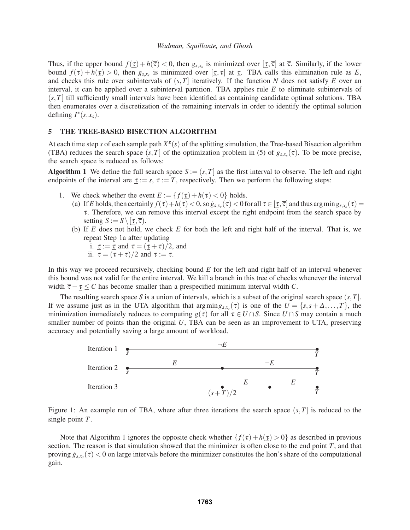Thus, if the upper bound  $f(\underline{\tau}) + h(\overline{\tau}) < 0$ , then  $g_{s,x_s}$  is minimized over  $[\underline{\tau}, \overline{\tau}]$  at  $\overline{\tau}$ . Similarly, if the lower bound  $f(\overline{\tau}) + h(\underline{\tau}) > 0$ , then  $g_{s,x_s}$  is minimized over  $[\underline{\tau}, \overline{\tau}]$  at  $\underline{\tau}$ . TBA calls this elimination rule as *E*, and checks this rule over subintervals of  $(s, T)$  iteratively. If the function *N* does not satisfy *E* over an interval, it can be applied over a subinterval partition. TBA applies rule *E* to eliminate subintervals of  $(s, T]$  till sufficiently small intervals have been identified as containing candidate optimal solutions. TBA then enumerates over a discretization of the remaining intervals in order to identify the optimal solution defining  $I^*(s, x_s)$ .

## 5 THE TREE-BASED BISECTION ALGORITHM

At each time step *s* of each sample path  $X^{\epsilon}(s)$  of the splitting simulation, the Tree-based Bisection algorithm (TBA) reduces the search space  $(s, T]$  of the optimization problem in (5) of  $g_{s,x_s}(\tau)$ . To be more precise, the search space is reduced as follows:

Algorithm 1 We define the full search space  $S := (s, T]$  as the first interval to observe. The left and right endpoints of the interval are  $\underline{\tau} := s$ ,  $\overline{\tau} := T$ , respectively. Then we perform the following steps:

- 1. We check whether the event  $E := \{ f(\underline{\tau}) + h(\overline{\tau}) < 0 \}$  holds.
	- (a) If *E* holds, then certainly  $f(\tau) + h(\tau) < 0$ , so  $\dot{g}_{s,x}(\tau) < 0$  for all  $\tau \in [\tau, \overline{\tau}]$  and thus arg min $g_{s,x}(\tau) =$  $\overline{\tau}$ . Therefore, we can remove this interval except the right endpoint from the search space by setting  $S := S \setminus [\tau, \overline{\tau}).$
	- (b) If *E* does not hold, we check *E* for both the left and right half of the interval. That is, we repeat Step 1a after updating
		- i.  $\tau := \tau$  and  $\bar{\tau} = (\tau + \bar{\tau})/2$ , and ii.  $\tau = (\tau + \overline{\tau})/2$  and  $\overline{\tau} := \overline{\tau}$ .

In this way we proceed recursively, checking bound *E* for the left and right half of an interval whenever this bound was not valid for the entire interval. We kill a branch in this tree of checks whenever the interval width  $\overline{\tau} - \underline{\tau} \leq C$  has become smaller than a prespecified minimum interval width *C*.

The resulting search space *S* is a union of intervals, which is a subset of the original search space (*s*,*T*]. If we assume just as in the UTA algorithm that argmin $g_{s,x_s}(\tau)$  is one of the  $U = \{s, s + \Delta, ..., T\}$ , the minimization immediately reduces to computing  $g(\tau)$  for all  $\tau \in U \cap S$ . Since  $U \cap S$  may contain a much smaller number of points than the original *U*, TBA can be seen as an improvement to UTA, preserving accuracy and potentially saving a large amount of workload.



Figure 1: An example run of TBA, where after three iterations the search space  $(s, T]$  is reduced to the single point *T*.

Note that Algorithm 1 ignores the opposite check whether  $\{f(\overline{\tau}) + h(\tau) > 0\}$  as described in previous section. The reason is that simulation showed that the minimizer is often close to the end point *T*, and that proving  $\dot{g}_{s,x_s}(\tau) < 0$  on large intervals before the minimizer constitutes the lion's share of the computational gain.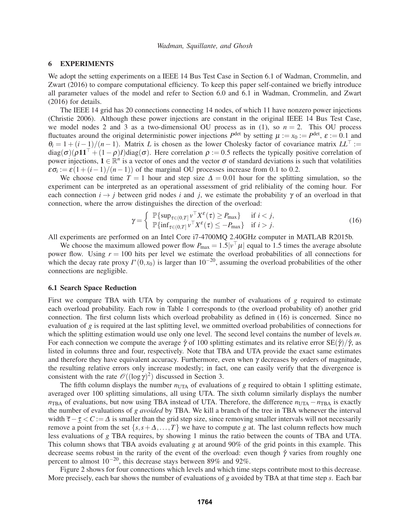### 6 EXPERIMENTS

We adopt the setting experiments on a IEEE 14 Bus Test Case in Section 6.1 of Wadman, Crommelin, and Zwart (2016) to compare computational efficiency. To keep this paper self-contained we briefly introduce all parameter values of the model and refer to Section 6.0 and 6.1 in Wadman, Crommelin, and Zwart (2016) for details.

The IEEE 14 grid has 20 connections connecting 14 nodes, of which 11 have nonzero power injections (Christie 2006). Although these power injections are constant in the original IEEE 14 Bus Test Case, we model nodes 2 and 3 as a two-dimensional OU process as in (1), so  $n = 2$ . This OU process fluctuates around the original deterministic power injections  $P^{\text{det}}$  by setting  $\mu := x_0 := P^{\text{det}}$ ,  $\varepsilon := 0.1$  and  $\theta_i = 1 + (i - 1)/(n - 1)$ . Matrix *L* is chosen as the lower Cholesky factor of covariance matrix  $LL^{\top}$  :=  $diag(\sigma)(\rho 11^{T} + (1 - \rho)I)diag(\sigma)$ . Here correlation  $\rho := 0.5$  reflects the typically positive correlation of power injections,  $1 \in \mathbb{R}^n$  is a vector of ones and the vector  $\sigma$  of standard deviations is such that volatilities  $\varepsilon \sigma_i := \varepsilon (1 + (i-1)/(n-1))$  of the marginal OU processes increase from 0.1 to 0.2.

We choose end time  $T = 1$  hour and step size  $\Delta = 0.01$  hour for the splitting simulation, so the experiment can be interpreted as an operational assessment of grid relibiality of the coming hour. For each connection  $i \rightarrow j$  between grid nodes *i* and *j*, we estimate the probability  $\gamma$  of an overload in that connection, where the arrow distinguishes the direction of the overload:

$$
\gamma = \begin{cases} \mathbb{P}\{\sup_{\tau \in (0,T]} v^{\top} X^{\varepsilon}(\tau) \ge P_{\max}\} & \text{if } i < j, \\ \mathbb{P}\{\inf_{\tau \in (0,T]} v^{\top} X^{\varepsilon}(\tau) \le -P_{\max}\} & \text{if } i > j. \end{cases}
$$
(16)

All experiments are performed on an Intel Core i7-4700MQ 2.40GHz computer in MATLAB R2015b.

We choose the maximum allowed power flow  $P_{\text{max}} = 1.5|v^{\top}\mu|$  equal to 1.5 times the average absolute power flow. Using  $r = 100$  hits per level we estimate the overload probabilities of all connections for which the decay rate proxy  $I^*(0, x_0)$  is larger than 10<sup>-20</sup>, assuming the overload probabilities of the other connections are negligible.

#### 6.1 Search Space Reduction

First we compare TBA with UTA by comparing the number of evaluations of *g* required to estimate each overload probability. Each row in Table 1 corresponds to (the overload probability of) another grid connection. The first column lists which overload probability as defined in (16) is concerned. Since no evaluation of *g* is required at the last splitting level, we ommitted overload probabilities of connections for which the splitting estimation would use only one level. The second level contains the number of levels *m*. For each connection we compute the average  $\hat{\gamma}$  of 100 splitting estimates and its relative error SE( $\hat{\gamma}$ )/ $\hat{\gamma}$ , as listed in columns three and four, respectively. Note that TBA and UTA provide the exact same estimates and therefore they have equivalent accuracy. Furthermore, even when  $\gamma$  decreases by orders of magnitude, the resulting relative errors only increase modestly; in fact, one can easily verify that the divergence is consistent with the rate  $\mathcal{O}((\log \gamma)^2)$  discussed in Section 3.

The fifth column displays the number  $n_{\text{UTA}}$  of evaluations of *g* required to obtain 1 splitting estimate, averaged over 100 splitting simulations, all using UTA. The sixth column similarly displays the number  $n_{\text{TRA}}$  of evaluations, but now using TBA instead of UTA. Therefore, the difference  $n_{\text{UTA}} - n_{\text{TRA}}$  is exactly the number of evaluations of *g avoided* by TBA. We kill a branch of the tree in TBA whenever the interval width  $\overline{\tau} - \underline{\tau} < C := \Delta$  is smaller than the grid step size, since removing smaller intervals will not necessarily remove a point from the set  $\{s, s+\Delta, \ldots, T\}$  we have to compute *g* at. The last column reflects how much less evaluations of *g* TBA requires, by showing 1 minus the ratio between the counts of TBA and UTA. This column shows that TBA avoids evaluating *g* at around 90% of the grid points in this example. This decrease seems robust in the rarity of the event of the overload: even though  $\hat{\gamma}$  varies from roughly one percent to almost 10−20, this decrease stays between 89% and 92%.

Figure 2 shows for four connections which levels and which time steps contribute most to this decrease. More precisely, each bar shows the number of evaluations of *g* avoided by TBA at that time step *s*. Each bar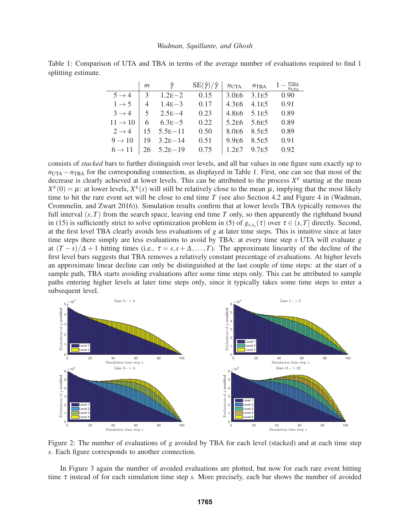| Table 1: Comparison of UTA and TBA in terms of the average number of evaluations required to find 1 |  |  |  |  |  |  |  |  |
|-----------------------------------------------------------------------------------------------------|--|--|--|--|--|--|--|--|
| splitting estimate.                                                                                 |  |  |  |  |  |  |  |  |

|                     | $\mathfrak{m}$           | $\hat{\gamma}$     | $SE(\hat{\gamma})/\hat{\gamma}$ | $n_{\text{UTA}}$  | $n_{\rm TBA}$     | $n_{\text{TBA}}$<br>$n_{\text{ITA}}$ |
|---------------------|--------------------------|--------------------|---------------------------------|-------------------|-------------------|--------------------------------------|
| $5 \rightarrow 4$   | $\overline{\mathbf{3}}$  | $1.2E - 2$         | 0.15                            | 3.0E6 3.1E5       |                   | 0.90                                 |
| $1 \rightarrow 5$   | $\overline{4}$           | $1.4E - 3$         | 0.17                            | 4.3E6 4.1E5       |                   | 0.91                                 |
| $3 \rightarrow 4$   | $\overline{\mathcal{L}}$ | $2.5E - 4$         | 0.23                            | 4.8E6 5.1E5       |                   | 0.89                                 |
| $11 \rightarrow 10$ | 6                        | $6.3E - 5$         | 0.22                            | 5.2E6 5.6E5       |                   | 0.89                                 |
| $2 \rightarrow 4$   |                          | $15 \quad 5.5E-11$ | 0.50                            | 8.0E6 8.5E5       |                   | 0.89                                 |
| $9 \rightarrow 10$  |                          | $19 \quad 3.2E-14$ | 0.51                            | 9.9 <sub>E6</sub> | 8.5 <sub>E5</sub> | 0.91                                 |
| $6 \rightarrow 11$  | 26                       | $5.2E-19$          | 0.75                            | 1.2E7             | 9.7 <sub>E5</sub> | 0.92                                 |

consists of *stacked* bars to further distinguish over levels, and all bar values in one figure sum exactly up to  $n_{\text{UTA}} - n_{\text{TBA}}$  for the corresponding connection, as displayed in Table 1. First, one can see that most of the decrease is clearly achieved at lower levels. This can be attributed to the process  $X^{\varepsilon}$  starting at the mean  $X^{\varepsilon}(0) = \mu$ : at lower levels,  $X^{\varepsilon}(s)$  will still be relatively close to the mean  $\mu$ , implying that the most likely time to hit the rare event set will be close to end time *T* (see also Section 4.2 and Figure 4 in (Wadman, Crommelin, and Zwart 2016)). Simulation results confirm that at lower levels TBA typically removes the full interval  $(s, T)$  from the search space, leaving end time *T* only, so then apparently the righthand bound in (15) is sufficiently strict to solve optimization problem in (5) of  $g_{s,x_s}(\tau)$  over  $\tau \in (s,T]$  directly. Second, at the first level TBA clearly avoids less evaluations of *g* at later time steps. This is intuitive since at later time steps there simply are less evaluations to avoid by TBA: at every time step *s* UTA will evaluate *g* at  $(T-s)/\Delta+1$  hitting times (i.e.,  $\tau = s, s+\Delta, \ldots, T$ ). The approximate linearity of the decline of the first level bars suggests that TBA removes a relatively constant precentage of evaluations. At higher levels an approximate linear decline can only be distinguished at the last couple of time steps: at the start of a sample path, TBA starts avoiding evaluations after some time steps only. This can be attributed to sample paths entering higher levels at later time steps only, since it typically takes some time steps to enter a subsequent level.



Figure 2: The number of evaluations of *g* avoided by TBA for each level (stacked) and at each time step *s*. Each figure corresponds to another connection.

In Figure 3 again the number of avoided evaluations are plotted, but now for each rare event hitting time τ instead of for each simulation time step *s*. More precisely, each bar shows the number of avoided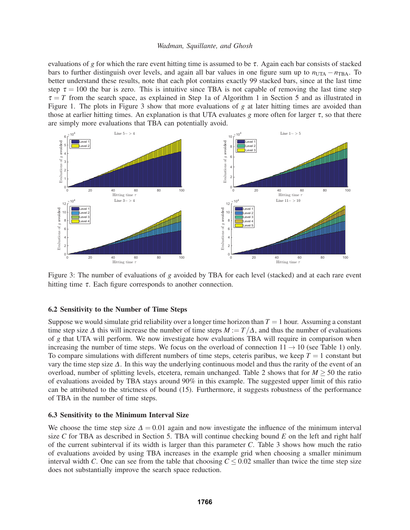evaluations of *g* for which the rare event hitting time is assumed to be  $\tau$ . Again each bar consists of stacked bars to further distinguish over levels, and again all bar values in one figure sum up to  $n_{\text{UTA}} - n_{\text{TBA}}$ . To better understand these results, note that each plot contains exactly 99 stacked bars, since at the last time step  $\tau = 100$  the bar is zero. This is intuitive since TBA is not capable of removing the last time step  $\tau = T$  from the search space, as explained in Step 1a of Algorithm 1 in Section 5 and as illustrated in Figure 1. The plots in Figure 3 show that more evaluations of *g* at later hitting times are avoided than those at earlier hitting times. An explanation is that UTA evaluates *g* more often for larger  $\tau$ , so that there are simply more evaluations that TBA can potentially avoid.



Figure 3: The number of evaluations of *g* avoided by TBA for each level (stacked) and at each rare event hitting time  $\tau$ . Each figure corresponds to another connection.

# 6.2 Sensitivity to the Number of Time Steps

Suppose we would simulate grid reliability over a longer time horizon than  $T = 1$  hour. Assuming a constant time step size  $\Delta$  this will increase the number of time steps  $M := T/\Delta$ , and thus the number of evaluations of *g* that UTA will perform. We now investigate how evaluations TBA will require in comparison when increasing the number of time steps. We focus on the overload of connection  $11 \rightarrow 10$  (see Table 1) only. To compare simulations with different numbers of time steps, ceteris paribus, we keep  $T = 1$  constant but vary the time step size  $\Delta$ . In this way the underlying continuous model and thus the rarity of the event of an overload, number of splitting levels, etcetera, remain unchanged. Table 2 shows that for  $M > 50$  the ratio of evaluations avoided by TBA stays around 90% in this example. The suggested upper limit of this ratio can be attributed to the strictness of bound (15). Furthermore, it suggests robustness of the performance of TBA in the number of time steps.

### 6.3 Sensitivity to the Minimum Interval Size

We choose the time step size  $\Delta = 0.01$  again and now investigate the influence of the minimum interval size *C* for TBA as described in Section 5. TBA will continue checking bound *E* on the left and right half of the current subinterval if its width is larger than this parameter *C*. Table 3 shows how much the ratio of evaluations avoided by using TBA increases in the example grid when choosing a smaller minimum interval width *C*. One can see from the table that choosing  $C \leq 0.02$  smaller than twice the time step size does not substantially improve the search space reduction.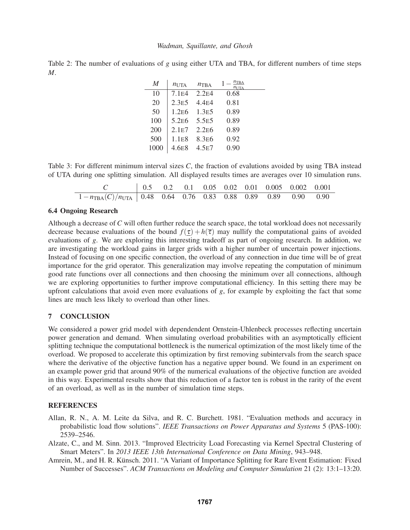Table 2: The number of evaluations of *g* using either UTA and TBA, for different numbers of time steps *M*.

| M    | $n_{\text{UTA}}$  | $n_{\rm TBA}$      | $n_{\text{TBA}}$<br>$n_{\rm I\, ITA}$ |
|------|-------------------|--------------------|---------------------------------------|
| 10   | 7.1E4             | 2.2E4              | 0.68                                  |
| 20   | 2.3E5             | 4.4 <sub>E4</sub>  | 0.81                                  |
| 50   | 1.2E6             | 1.3E5              | 0.89                                  |
| 100  | 5.2 <sub>E6</sub> | 5.5 <sub>E5</sub>  | 0.89                                  |
| 200  | 2.1E7             | 2.2E6              | 0.89                                  |
| 500  | 1.1E8             | 8.3E6              | 0.92                                  |
| 1000 | 4.6E8             | 4.5 <sub>E</sub> 7 | 0.90                                  |

Table 3: For different minimum interval sizes *C*, the fraction of evalutions avoided by using TBA instead of UTA during one splitting simulation. All displayed results times are averages over 10 simulation runs.

|                                                                                     |  |  |  | $\begin{array}{cccccc} \n\end{array}$ 0.5 0.2 0.1 0.05 0.02 0.01 0.005 0.002 0.001 |  |
|-------------------------------------------------------------------------------------|--|--|--|------------------------------------------------------------------------------------|--|
| $1 - n_{\text{TBA}}(C)/n_{\text{UTA}}$ 0.48 0.64 0.76 0.83 0.88 0.89 0.89 0.90 0.90 |  |  |  |                                                                                    |  |

# 6.4 Ongoing Research

Although a decrease of *C* will often further reduce the search space, the total workload does not necessarily decrease because evaluations of the bound  $f(\tau) + h(\overline{\tau})$  may nullify the computational gains of avoided evaluations of *g*. We are exploring this interesting tradeoff as part of ongoing research. In addition, we are investigating the workload gains in larger grids with a higher number of uncertain power injections. Instead of focusing on one specific connection, the overload of any connection in due time will be of great importance for the grid operator. This generalization may involve repeating the computation of minimum good rate functions over all connections and then choosing the minimum over all connections, although we are exploring opportunities to further improve computational efficiency. In this setting there may be upfront calculations that avoid even more evaluations of *g*, for example by exploiting the fact that some lines are much less likely to overload than other lines.

# 7 CONCLUSION

We considered a power grid model with dependendent Ornstein-Uhlenbeck processes reflecting uncertain power generation and demand. When simulating overload probabilities with an asymptotically efficient splitting technique the computational bottleneck is the numerical optimization of the most likely time of the overload. We proposed to accelerate this optimization by first removing subintervals from the search space where the derivative of the objective function has a negative upper bound. We found in an experiment on an example power grid that around 90% of the numerical evaluations of the objective function are avoided in this way. Experimental results show that this reduction of a factor ten is robust in the rarity of the event of an overload, as well as in the number of simulation time steps.

## **REFERENCES**

- Allan, R. N., A. M. Leite da Silva, and R. C. Burchett. 1981. "Evaluation methods and accuracy in probabilistic load flow solutions". *IEEE Transactions on Power Apparatus and Systems* 5 (PAS-100): 2539–2546.
- Alzate, C., and M. Sinn. 2013. "Improved Electricity Load Forecasting via Kernel Spectral Clustering of Smart Meters". In *2013 IEEE 13th International Conference on Data Mining*, 943–948.
- Amrein, M., and H. R. Künsch. 2011. "A Variant of Importance Splitting for Rare Event Estimation: Fixed Number of Successes". *ACM Transactions on Modeling and Computer Simulation* 21 (2): 13:1–13:20.